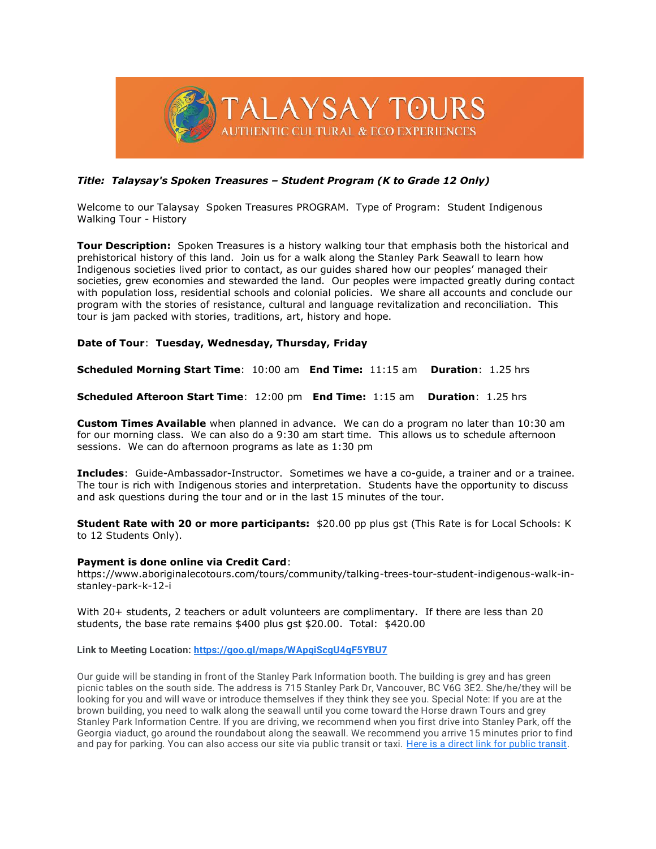

## *Title: Talaysay's Spoken Treasures – Student Program (K to Grade 12 Only)*

Welcome to our Talaysay Spoken Treasures PROGRAM. Type of Program: Student Indigenous Walking Tour - History

**Tour Description:** Spoken Treasures is a history walking tour that emphasis both the historical and prehistorical history of this land. Join us for a walk along the Stanley Park Seawall to learn how Indigenous societies lived prior to contact, as our guides shared how our peoples' managed their societies, grew economies and stewarded the land. Our peoples were impacted greatly during contact with population loss, residential schools and colonial policies. We share all accounts and conclude our program with the stories of resistance, cultural and language revitalization and reconciliation. This tour is jam packed with stories, traditions, art, history and hope.

## **Date of Tour**: **Tuesday, Wednesday, Thursday, Friday**

**Scheduled Morning Start Time**: 10:00 am **End Time:** 11:15 am **Duration**: 1.25 hrs

**Scheduled Afteroon Start Time**: 12:00 pm **End Time:** 1:15 am **Duration**: 1.25 hrs

**Custom Times Available** when planned in advance. We can do a program no later than 10:30 am for our morning class. We can also do a 9:30 am start time. This allows us to schedule afternoon sessions. We can do afternoon programs as late as 1:30 pm

**Includes**: Guide-Ambassador-Instructor. Sometimes we have a co-guide, a trainer and or a trainee. The tour is rich with Indigenous stories and interpretation. Students have the opportunity to discuss and ask questions during the tour and or in the last 15 minutes of the tour.

**Student Rate with 20 or more participants:** \$20.00 pp plus gst (This Rate is for Local Schools: K to 12 Students Only).

## **Payment is done online via Credit Card**:

https://www.aboriginalecotours.com/tours/community/talking-trees-tour-student-indigenous-walk-instanley-park-k-12-i

With 20+ students, 2 teachers or adult volunteers are complimentary. If there are less than 20 students, the base rate remains \$400 plus gst \$20.00. Total: \$420.00

**Link to Meeting Location: [https://goo.gl/maps/WApqiScgU4gF5YBU7](https://www.google.com/url?q=https://goo.gl/maps/WApqiScgU4gF5YBU7&sa=D&source=calendar&ust=1637465703743737&usg=AOvVaw0kFdvwzGJKDD_PngLlNUEM)**

Our guide will be standing in front of the Stanley Park Information booth. The building is grey and has green picnic tables on the south side. The address is 715 Stanley Park Dr, Vancouver, BC V6G 3E2. She/he/they will be looking for you and will wave or introduce themselves if they think they see you. Special Note: If you are at the brown building, you need to walk along the seawall until you come toward the Horse drawn Tours and grey Stanley Park Information Centre. If you are driving, we recommend when you first drive into Stanley Park, off the Georgia viaduct, go around the roundabout along the seawall. We recommend you arrive 15 minutes prior to find and pay for parking. You can also access our site via public transit or taxi. [Here is a direct link for public transit.](https://www.google.com/url?q=https://www.translink.ca/&sa=D&source=calendar&ust=1637465703743737&usg=AOvVaw1hqKdUIaWsMgMFqh3f-mxS)